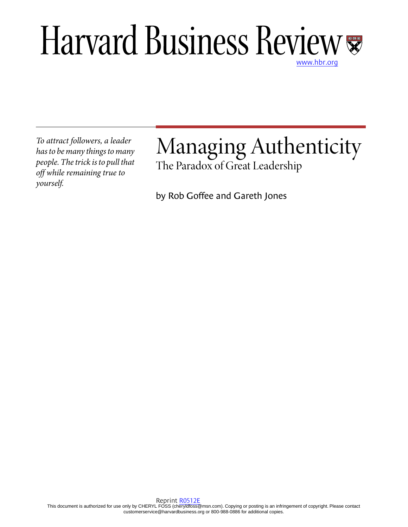# Harvard Business Review [www.hbr.org](http://www.hbr.org)

*To attract followers, a leader has to be many things to many people. The trick is to pull that off while remaining true to yourself.* 

## Managing Authenticity The Paradox of Great Leadership

by Rob Goffee and Gareth Jones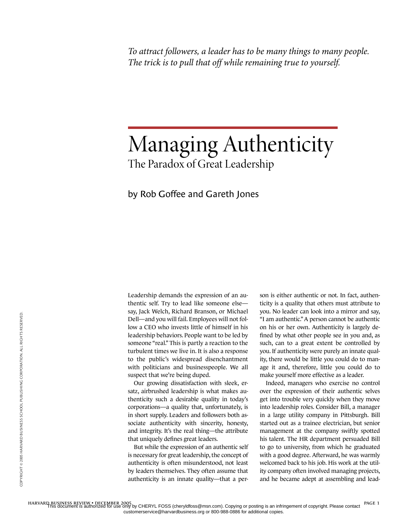*To attract followers, a leader has to be many things to many people. The trick is to pull that off while remaining true to yourself.* 

## Managing Authenticity The Paradox of Great Leadership

by Rob Goffee and Gareth Jones

Leadership demands the expression of an authentic self. Try to lead like someone else say, Jack Welch, Richard Branson, or Michael Dell—and you will fail. Employees will not follow a CEO who invests little of himself in his leadership behaviors. People want to be led by someone "real." This is partly a reaction to the turbulent times we live in. It is also a response to the public's widespread disenchantment with politicians and businesspeople. We all suspect that we're being duped.

Our growing dissatisfaction with sleek, ersatz, airbrushed leadership is what makes authenticity such a desirable quality in today's corporations—a quality that, unfortunately, is in short supply. Leaders and followers both associate authenticity with sincerity, honesty, and integrity. It's the real thing—the attribute that uniquely defines great leaders.

But while the expression of an authentic self is necessary for great leadership, the concept of authenticity is often misunderstood, not least by leaders themselves. They often assume that authenticity is an innate quality—that a person is either authentic or not. In fact, authenticity is a quality that others must attribute to you. No leader can look into a mirror and say, "I am authentic." A person cannot be authentic on his or her own. Authenticity is largely defined by what other people see in you and, as such, can to a great extent be controlled by you. If authenticity were purely an innate quality, there would be little you could do to manage it and, therefore, little you could do to make yourself more effective as a leader.

Indeed, managers who exercise no control over the expression of their authentic selves get into trouble very quickly when they move into leadership roles. Consider Bill, a manager in a large utility company in Pittsburgh. Bill started out as a trainee electrician, but senior management at the company swiftly spotted his talent. The HR department persuaded Bill to go to university, from which he graduated with a good degree. Afterward, he was warmly welcomed back to his job. His work at the utility company often involved managing projects, and he became adept at assembling and lead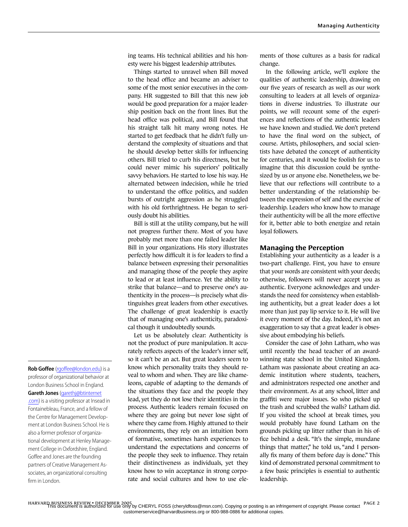ing teams. His technical abilities and his honesty were his biggest leadership attributes.

Things started to unravel when Bill moved to the head office and became an adviser to some of the most senior executives in the company. HR suggested to Bill that this new job would be good preparation for a major leadership position back on the front lines. But the head office was political, and Bill found that his straight talk hit many wrong notes. He started to get feedback that he didn't fully understand the complexity of situations and that he should develop better skills for influencing others. Bill tried to curb his directness, but he could never mimic his superiors' politically savvy behaviors. He started to lose his way. He alternated between indecision, while he tried to understand the office politics, and sudden bursts of outright aggression as he struggled with his old forthrightness. He began to seriously doubt his abilities.

Bill is still at the utility company, but he will not progress further there. Most of you have probably met more than one failed leader like Bill in your organizations. His story illustrates perfectly how difficult it is for leaders to find a balance between expressing their personalities and managing those of the people they aspire to lead or at least influence. Yet the ability to strike that balance—and to preserve one's authenticity in the process—is precisely what distinguishes great leaders from other executives. The challenge of great leadership is exactly that of managing one's authenticity, paradoxical though it undoubtedly sounds.

Let us be absolutely clear: Authenticity is not the product of pure manipulation. It accurately reflects aspects of the leader's inner self, so it can't be an act. But great leaders seem to know which personality traits they should reveal to whom and when. They are like chameleons, capable of adapting to the demands of the situations they face and the people they lead, yet they do not lose their identities in the process. Authentic leaders remain focused on where they are going but never lose sight of where they came from. Highly attuned to their environments, they rely on an intuition born of formative, sometimes harsh experiences to understand the expectations and concerns of the people they seek to influence. They retain their distinctiveness as individuals, yet they know how to win acceptance in strong corporate and social cultures and how to use elements of those cultures as a basis for radical change.

In the following article, we'll explore the qualities of authentic leadership, drawing on our five years of research as well as our work consulting to leaders at all levels of organizations in diverse industries. To illustrate our points, we will recount some of the experiences and reflections of the authentic leaders we have known and studied. We don't pretend to have the final word on the subject, of course. Artists, philosophers, and social scientists have debated the concept of authenticity for centuries, and it would be foolish for us to imagine that this discussion could be synthesized by us or anyone else. Nonetheless, we believe that our reflections will contribute to a better understanding of the relationship between the expression of self and the exercise of leadership. Leaders who know how to manage their authenticity will be all the more effective for it, better able to both energize and retain loyal followers.

#### **Managing the Perception**

Establishing your authenticity as a leader is a two-part challenge. First, you have to ensure that your words are consistent with your deeds; otherwise, followers will never accept you as authentic. Everyone acknowledges and understands the need for consistency when establishing authenticity, but a great leader does a lot more than just pay lip service to it. He will live it every moment of the day. Indeed, it's not an exaggeration to say that a great leader is obsessive about embodying his beliefs.

Consider the case of John Latham, who was until recently the head teacher of an awardwinning state school in the United Kingdom. Latham was passionate about creating an academic institution where students, teachers, and administrators respected one another and their environment. As at any school, litter and graffiti were major issues. So who picked up the trash and scrubbed the walls? Latham did. If you visited the school at break times, you would probably have found Latham on the grounds picking up litter rather than in his office behind a desk. "It's the simple, mundane things that matter," he told us, "and I personally fix many of them before day is done." This kind of demonstrated personal commitment to a few basic principles is essential to authentic leadership.

**Rob Goffee** [\(rgoffee@london.edu\)](mailto:rgoffee@london.edu) is a professor of organizational behavior at London Business School in England. **Gareth Jones** ([garethj@btinternet](mailto:garethj@btinternet.com) [.com\)](mailto:garethj@btinternet.com) is a visiting professor at Insead in Fontainebleau, France, and a fellow of the Centre for Management Development at London Business School. He is also a former professor of organizational development at Henley Management College in Oxfordshire, England. Goffee and Jones are the founding partners of Creative Management Associates, an organizational consulting firm in London.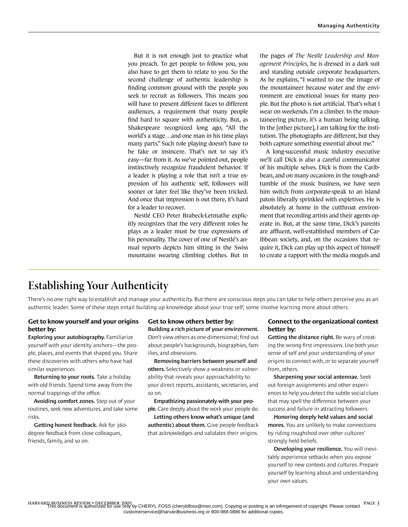But it is not enough just to practice what you preach. To get people to follow you, you also have to get them to relate to you. So the second challenge of authentic leadership is finding common ground with the people you seek to recruit as followers. This means you will have to present different faces to different audiences, a requirement that many people find hard to square with authenticity. But, as Shakespeare recognized long ago, "All the world's a stage…and one man in his time plays many parts." Such role playing doesn't have to be fake or insincere. That's not to say it's easy—far from it. As we've pointed out, people instinctively recognize fraudulent behavior. If a leader is playing a role that isn't a true expression of his authentic self, followers will sooner or later feel like they've been tricked. And once that impression is out there, it's hard for a leader to recover.

Nestlé CEO Peter Brabeck-Letmathe explicitly recognizes that the very different roles he plays as a leader must be true expressions of his personality. The cover of one of Nestlé's annual reports depicts him sitting in the Swiss mountains wearing climbing clothes. But in

the pages of *The Nestlé Leadership and Management Principles,* he is dressed in a dark suit and standing outside corporate headquarters. As he explains, "I wanted to use the image of the mountaineer because water and the environment are emotional issues for many people. But the photo is not artificial. That's what I wear on weekends. I'm a climber. In the mountaineering picture, it's a human being talking. In the [other picture], I am talking for the institution. The photographs are different, but they both capture something essential about me."

A long-successful music industry executive we'll call Dick is also a careful communicator of his multiple selves. Dick is from the Caribbean, and on many occasions in the rough-andtumble of the music business, we have seen him switch from corporate-speak to an island patois liberally sprinkled with expletives. He is absolutely at home in the cutthroat environment that recording artists and their agents operate in. But, at the same time, Dick's parents are affluent, well-established members of Caribbean society, and, on the occasions that require it, Dick can play up this aspect of himself to create a rapport with the media moguls and

## **Establishing Your Authenticity**

There's no one right way to establish and manage your authenticity. But there are conscious steps you can take to help others perceive you as an authentic leader. Some of these steps entail building up knowledge about your true self; some involve learning more about others.

#### **Get to know yourself and your origins better by:**

**Exploring your autobiography.** Familiarize yourself with your identity anchors—the people, places, and events that shaped you. Share these discoveries with others who have had similar experiences.

**Returning to your roots.** Take a holiday with old friends. Spend time away from the normal trappings of the office.

**Avoiding comfort zones.** Step out of your routines, seek new adventures, and take some risks.

**Getting honest feedback.** Ask for 360 degree feedback from close colleagues, friends, family, and so on.

#### **Get to know others better by:**

**Building a rich picture of your environment.** Don't view others as one-dimensional; find out about people's backgrounds, biographies, families, and obsessions.

**Removing barriers between yourself and others.** Selectively show a weakness or vulnerability that reveals your approachability to your direct reports, assistants, secretaries, and so on.

**Empathizing passionately with your people.** Care deeply about the work your people do.

**Letting others know what's unique (and authentic) about them.** Give people feedback that acknowledges and validates their origins.

#### **Connect to the organizational context better by:**

**Getting the distance right.** Be wary of creating the wrong first impressions. Use both your sense of self and your understanding of your origins to connect with, or to separate yourself from, others.

**Sharpening your social antennae.** Seek out foreign assignments and other experiences to help you detect the subtle social clues that may spell the difference between your success and failure in attracting followers.

**Honoring deeply held values and social mores.** You are unlikely to make connections by riding roughshod over other cultures' strongly held beliefs.

**Developing your resilience.** You will inevitably experience setbacks when you expose yourself to new contexts and cultures. Prepare yourself by learning about and understanding your own values.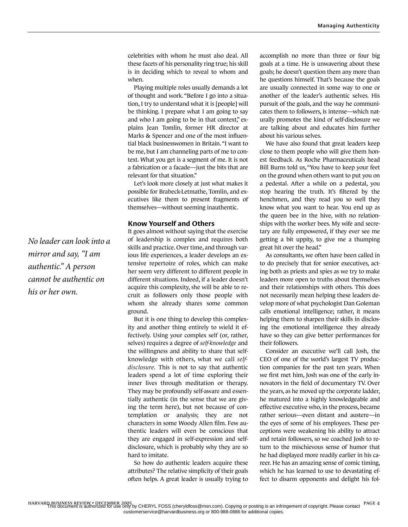celebrities with whom he must also deal. All these facets of his personality ring true; his skill is in deciding which to reveal to whom and when.

Playing multiple roles usually demands a lot of thought and work. "Before I go into a situation, I try to understand what it is [people] will be thinking. I prepare what I am going to say and who I am going to be in that context," explains Jean Tomlin, former HR director at Marks & Spencer and one of the most influential black businesswomen in Britain. "I want to be me, but I am channeling parts of me to context. What you get is a segment of me. It is not a fabrication or a facade—just the bits that are relevant for that situation."

Let's look more closely at just what makes it possible for Brabeck-Letmathe, Tomlin, and executives like them to present fragments of themselves—without seeming inauthentic.

#### **Know Yourself and Others**

It goes almost without saying that the exercise of leadership is complex and requires both skills and practice. Over time, and through various life experiences, a leader develops an extensive repertoire of roles, which can make her seem very different to different people in different situations. Indeed, if a leader doesn't acquire this complexity, she will be able to recruit as followers only those people with whom she already shares some common ground.

But it is one thing to develop this complexity and another thing entirely to wield it effectively. Using your complex self (or, rather, selves) requires a degree of *self-knowledge* and the willingness and ability to share that selfknowledge with others, what we call *selfdisclosure.* This is not to say that authentic leaders spend a lot of time exploring their inner lives through meditation or therapy. They may be profoundly self-aware and essentially authentic (in the sense that we are giving the term here), but not because of contemplation or analysis; they are not characters in some Woody Allen film. Few authentic leaders will even be conscious that they are engaged in self-expression and selfdisclosure, which is probably why they are so hard to imitate.

So how do authentic leaders acquire these attributes? The relative simplicity of their goals often helps. A great leader is usually trying to accomplish no more than three or four big goals at a time. He is unwavering about these goals; he doesn't question them any more than he questions himself. That's because the goals are usually connected in some way to one or another of the leader's authentic selves. His pursuit of the goals, and the way he communicates them to followers, is intense—which naturally promotes the kind of self-disclosure we are talking about and educates him further about his various selves.

We have also found that great leaders keep close to them people who will give them honest feedback. As Roche Pharmaceuticals head Bill Burns told us, "You have to keep your feet on the ground when others want to put you on a pedestal. After a while on a pedestal, you stop hearing the truth. It's filtered by the henchmen, and they read you so well they know what you want to hear. You end up as the queen bee in the hive, with no relationships with the worker bees. My wife and secretary are fully empowered, if they ever see me getting a bit uppity, to give me a thumping great hit over the head."

As consultants, we often have been called in to do precisely that for senior executives, acting both as priests and spies as we try to make leaders more open to truths about themselves and their relationships with others. This does not necessarily mean helping these leaders develop more of what psychologist Dan Goleman calls emotional intelligence; rather, it means helping them to sharpen their skills in disclosing the emotional intelligence they already have so they can give better performances for their followers.

Consider an executive we'll call Josh, the CEO of one of the world's largest TV production companies for the past ten years. When we first met him, Josh was one of the early innovators in the field of documentary TV. Over the years, as he moved up the corporate ladder, he matured into a highly knowledgeable and effective executive who, in the process, became rather serious—even distant and austere—in the eyes of some of his employees. These perceptions were weakening his ability to attract and retain followers, so we coached Josh to return to the mischievous sense of humor that he had displayed more readily earlier in his career. He has an amazing sense of comic timing, which he has learned to use to devastating effect to disarm opponents and delight his fol-

*No leadercan look into a mirror and say, "I am authentic." A person cannot be authentic on his or her own.*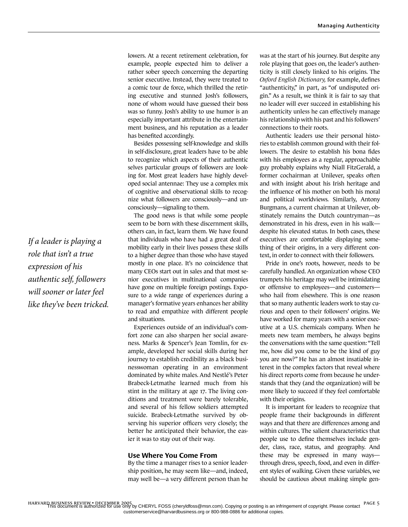lowers. At a recent retirement celebration, for example, people expected him to deliver a rather sober speech concerning the departing senior executive. Instead, they were treated to a comic tour de force, which thrilled the retiring executive and stunned Josh's followers, none of whom would have guessed their boss was so funny. Josh's ability to use humor is an especially important attribute in the entertainment business, and his reputation as a leader has benefited accordingly.

Besides possessing self-knowledge and skills in self-disclosure, great leaders have to be able to recognize which aspects of their authentic selves particular groups of followers are looking for. Most great leaders have highly developed social antennae: They use a complex mix of cognitive and observational skills to recognize what followers are consciously—and unconsciously—signaling to them.

The good news is that while some people seem to be born with these discernment skills, others can, in fact, learn them. We have found that individuals who have had a great deal of mobility early in their lives possess these skills to a higher degree than those who have stayed mostly in one place. It's no coincidence that many CEOs start out in sales and that most senior executives in multinational companies have gone on multiple foreign postings. Exposure to a wide range of experiences during a manager's formative years enhances her ability to read and empathize with different people and situations.

Experiences outside of an individual's comfort zone can also sharpen her social awareness. Marks & Spencer's Jean Tomlin, for example, developed her social skills during her journey to establish credibility as a black businesswoman operating in an environment dominated by white males. And Nestlé's Peter Brabeck-Letmathe learned much from his stint in the military at age 17. The living conditions and treatment were barely tolerable, and several of his fellow soldiers attempted suicide. Brabeck-Letmathe survived by observing his superior officers very closely; the better he anticipated their behavior, the easier it was to stay out of their way.

#### **Use Where You Come From**

By the time a manager rises to a senior leadership position, he may seem like—and, indeed, may well be—a very different person than he

was at the start of his journey. But despite any role playing that goes on, the leader's authenticity is still closely linked to his origins. The *Oxford English Dictionary,* for example, defines "authenticity," in part, as "of undisputed origin." As a result, we think it is fair to say that no leader will ever succeed in establishing his authenticity unless he can effectively manage his relationship with his past and his followers' connections to their roots.

Authentic leaders use their personal histories to establish common ground with their followers. The desire to establish his bona fides with his employees as a regular, approachable guy probably explains why Niall FitzGerald, a former cochairman at Unilever, speaks often and with insight about his Irish heritage and the influence of his mother on both his moral and political worldviews. Similarly, Antony Burgmans, a current chairman at Unilever, obstinately remains the Dutch countryman—as demonstrated in his dress, even in his walk despite his elevated status. In both cases, these executives are comfortable displaying something of their origins, in a very different context, in order to connect with their followers.

Pride in one's roots, however, needs to be carefully handled. An organization whose CEO trumpets his heritage may well be intimidating or offensive to employees—and customers who hail from elsewhere. This is one reason that so many authentic leaders work to stay curious and open to their followers' origins. We have worked for many years with a senior executive at a U.S. chemicals company. When he meets new team members, he always begins the conversations with the same question: "Tell me, how did you come to be the kind of guy you are now?" He has an almost insatiable interest in the complex factors that reveal where his direct reports come from because he understands that they (and the organization) will be more likely to succeed if they feel comfortable with their origins.

It is important for leaders to recognize that people frame their backgrounds in different ways and that there are differences among and within cultures. The salient characteristics that people use to define themselves include gender, class, race, status, and geography. And these may be expressed in many ways through dress, speech, food, and even in different styles of walking. Given these variables, we should be cautious about making simple gen-

*If a leader is playing a role that isn't a true expression of his authentic self, followers will sooner or later feel like they've been tricked.*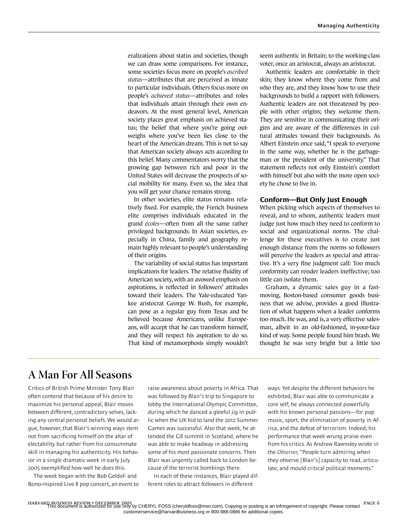eralizations about status and societies, though we can draw some comparisons. For instance, some societies focus more on people's *ascribed status*—attributes that are perceived as innate to particular individuals. Others focus more on people's *achieved status*—attributes and roles that individuals attain through their own endeavors. At the most general level, American society places great emphasis on achieved status; the belief that where you're going outweighs where you've been lies close to the heart of the American dream. This is not to say that American society always acts according to this belief. Many commentators worry that the growing gap between rich and poor in the United States will decrease the prospects of social mobility for many. Even so, the idea that you will get your chance remains strong.

In other societies, elite status remains relatively fixed. For example, the French business elite comprises individuals educated in the grand *écoles*—often from all the same rather privileged backgrounds. In Asian societies, especially in China, family and geography remain highly relevant to people's understanding of their origins.

The variability of social status has important implications for leaders. The relative fluidity of American society, with an avowed emphasis on aspirations, is reflected in followers' attitudes toward their leaders. The Yale-educated Yankee aristocrat George W. Bush, for example, can pose as a regular guy from Texas and be believed because Americans, unlike Europeans, will accept that he can transform himself, and they will respect his aspiration to do so. That kind of metamorphosis simply wouldn't

seem authentic in Britain; to the working-class voter, once an aristocrat, always an aristocrat.

Authentic leaders are comfortable in their skin; they know where they come from and who they are, and they know how to use their backgrounds to build a rapport with followers. Authentic leaders are not threatened by people with other origins; they welcome them. They are sensitive in communicating their origins and are aware of the differences in cultural attitudes toward their backgrounds. As Albert Einstein once said, "I speak to everyone in the same way, whether he is the garbageman or the president of the university." That statement reflects not only Einstein's comfort with himself but also with the more open society he chose to live in.

#### **Conform—But Only Just Enough**

When picking which aspects of themselves to reveal, and to whom, authentic leaders must judge just how much they need to conform to social and organizational norms. The challenge for these executives is to create just enough distance from the norms so followers will perceive the leaders as special and attractive. It's a very fine judgment call: Too much conformity can render leaders ineffective; too little can isolate them.

Graham, a dynamic sales guy in a fastmoving, Boston-based consumer goods business that we advise, provides a good illustration of what happens when a leader conforms too much. He was, and is, a very effective salesman, albeit in an old-fashioned, in-your-face kind of way. Some people found him brash. We thought he was very bright but a little too

### **A Man For All Seasons**

Critics of British Prime Minister Tony Blair often contend that because of his desire to maximize his personal appeal, Blair moves between different, contradictory selves, lacking any central personal beliefs. We would argue, however, that Blair's winning ways stem not from sacrificing himself on the altar of electability but rather from his consummate skill in managing his authenticity. His behavior in a single dramatic week in early July 2005 exemplified how well he does this.

The week began with the Bob Geldof- and Bono-inspired Live 8 pop concert, an event to

raise awareness about poverty in Africa. That was followed by Blair's trip to Singapore to lobby the International Olympic Committee, during which he danced a gleeful jig in public when the UK bid to land the 2012 Summer Games was successful. Also that week, he attended the G8 summit in Scotland, where he was able to make headway in addressing some of his most passionate concerns. Then Blair was urgently called back to London because of the terrorist bombings there.

In each of these instances, Blair played different roles to attract followers in different

ways. Yet despite the different behaviors he exhibited, Blair was able to communicate a core self; he always connected powerfully with his known personal passions—for pop music, sport, the elimination of poverty in Africa, and the defeat of terrorism. Indeed, his performance that week wrung praise even from his critics. As Andrew Rawnsley wrote in the *Observer,* "People turn admiring when they observe [Blair's] capacity to read, articulate, and mould critical political moments."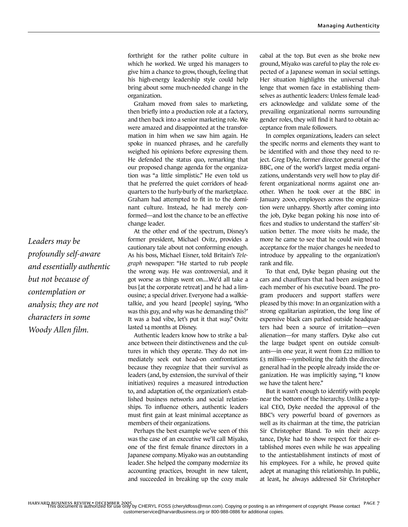forthright for the rather polite culture in which he worked. We urged his managers to give him a chance to grow, though, feeling that his high-energy leadership style could help bring about some much-needed change in the organization.

Graham moved from sales to marketing, then briefly into a production role at a factory, and then back into a senior marketing role. We were amazed and disappointed at the transformation in him when we saw him again. He spoke in nuanced phrases, and he carefully weighed his opinions before expressing them. He defended the status quo, remarking that our proposed change agenda for the organization was "a little simplistic." He even told us that he preferred the quiet corridors of headquarters to the hurly-burly of the marketplace. Graham had attempted to fit in to the dominant culture. Instead, he had merely conformed—and lost the chance to be an effective change leader.

At the other end of the spectrum, Disney's former president, Michael Ovitz, provides a cautionary tale about not conforming enough. As his boss, Michael Eisner, told Britain's *Telegraph* newspaper: "He started to rub people the wrong way. He was controversial, and it got worse as things went on....We'd all take a bus [at the corporate retreat] and he had a limousine; a special driver. Everyone had a walkietalkie, and you heard [people] saying, 'Who was this guy, and why was he demanding this?' It was a bad vibe, let's put it that way." Ovitz lasted 14 months at Disney.

Authentic leaders know how to strike a balance between their distinctiveness and the cultures in which they operate. They do not immediately seek out head-on confrontations because they recognize that their survival as leaders (and, by extension, the survival of their initiatives) requires a measured introduction to, and adaptation of, the organization's established business networks and social relationships. To influence others, authentic leaders must first gain at least minimal acceptance as members of their organizations.

Perhaps the best example we've seen of this was the case of an executive we'll call Miyako, one of the first female finance directors in a Japanese company. Miyako was an outstanding leader. She helped the company modernize its accounting practices, brought in new talent, and succeeded in breaking up the cozy male

cabal at the top. But even as she broke new ground, Miyako was careful to play the role expected of a Japanese woman in social settings. Her situation highlights the universal challenge that women face in establishing themselves as authentic leaders: Unless female leaders acknowledge and validate some of the prevailing organizational norms surrounding gender roles, they will find it hard to obtain acceptance from male followers.

In complex organizations, leaders can select the specific norms and elements they want to be identified with and those they need to reject. Greg Dyke, former director general of the BBC, one of the world's largest media organizations, understands very well how to play different organizational norms against one another. When he took over at the BBC in January 2000, employees across the organization were unhappy. Shortly after coming into the job, Dyke began poking his nose into offices and studios to understand the staffers' situation better. The more visits he made, the more he came to see that he could win broad acceptance for the major changes he needed to introduce by appealing to the organization's rank and file.

To that end, Dyke began phasing out the cars and chauffeurs that had been assigned to each member of his executive board. The program producers and support staffers were pleased by this move: In an organization with a strong egalitarian aspiration, the long line of expensive black cars parked outside headquarters had been a source of irritation—even alienation—for many staffers. Dyke also cut the large budget spent on outside consultants—in one year, it went from £22 million to £3 million—symbolizing the faith the director general had in the people already inside the organization. He was implicitly saying, "I know we have the talent here."

But it wasn't enough to identify with people near the bottom of the hierarchy. Unlike a typical CEO, Dyke needed the approval of the BBC's very powerful board of governors as well as its chairman at the time, the patrician Sir Christopher Bland. To win their acceptance, Dyke had to show respect for their established mores even while he was appealing to the antiestablishment instincts of most of his employees. For a while, he proved quite adept at managing this relationship. In public, at least, he always addressed Sir Christopher

*Leaders may be profoundly self-aware and essentially authentic but not because of contemplation or analysis; they are not characters in some Woody Allen film.*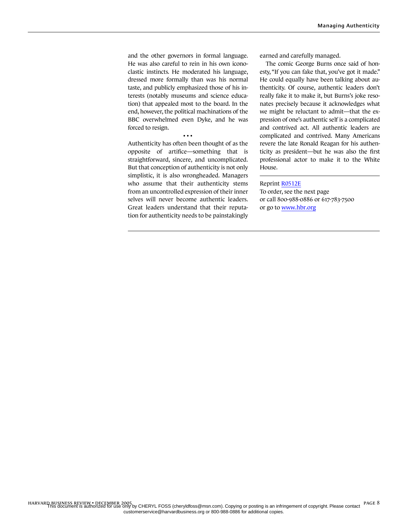and the other governors in formal language. He was also careful to rein in his own iconoclastic instincts. He moderated his language, dressed more formally than was his normal taste, and publicly emphasized those of his interests (notably museums and science education) that appealed most to the board. In the end, however, the political machinations of the BBC overwhelmed even Dyke, and he was forced to resign.

#### • • •

Authenticity has often been thought of as the opposite of artifice—something that is straightforward, sincere, and uncomplicated. But that conception of authenticity is not only simplistic, it is also wrongheaded. Managers who assume that their authenticity stems from an uncontrolled expression of their inner selves will never become authentic leaders. Great leaders understand that their reputation for authenticity needs to be painstakingly

earned and carefully managed.

The comic George Burns once said of honesty, "If you can fake that, you've got it made." He could equally have been talking about authenticity. Of course, authentic leaders don't really fake it to make it, but Burns's joke resonates precisely because it acknowledges what we might be reluctant to admit—that the expression of one's authentic self is a complicated and contrived act. All authentic leaders are complicated and contrived. Many Americans revere the late Ronald Reagan for his authenticity as president—but he was also the first professional actor to make it to the White House.

#### Reprint [R0512E](http://harvardbusinessonline.hbsp.harvard.edu/relay.jhtml?name=itemdetail&referral=4320&id=R0512E)

To order, see the next page or call 800-988-0886 or 617-783-7500 or go to [www.hbr.org](http://www.hbr.org)